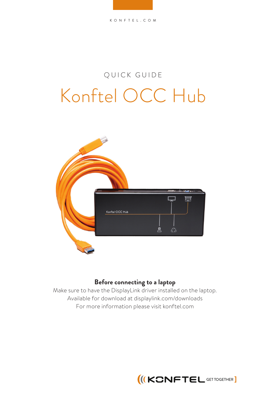## Konftel OCC Hub QUICK GUIDE



## **Before connecting to a laptop**

Make sure to have the DisplayLink driver installed on the laptop. Available for download at displaylink.com/downloads For more information please visit konftel.com

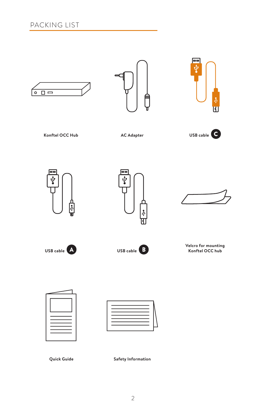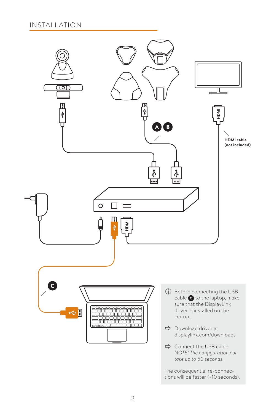

The consequential re-connections will be faster (~10 seconds).